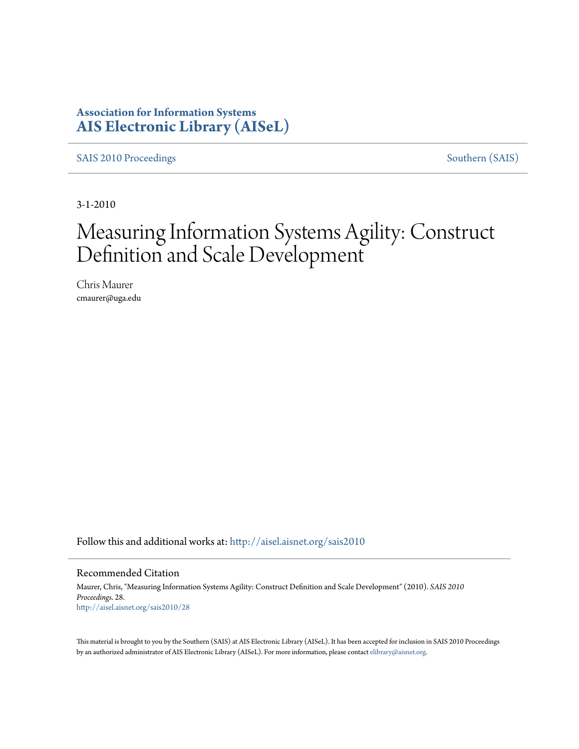### **Association for Information Systems [AIS Electronic Library \(AISeL\)](http://aisel.aisnet.org?utm_source=aisel.aisnet.org%2Fsais2010%2F28&utm_medium=PDF&utm_campaign=PDFCoverPages)**

[SAIS 2010 Proceedings](http://aisel.aisnet.org/sais2010?utm_source=aisel.aisnet.org%2Fsais2010%2F28&utm_medium=PDF&utm_campaign=PDFCoverPages) [Southern \(SAIS\)](http://aisel.aisnet.org/sais?utm_source=aisel.aisnet.org%2Fsais2010%2F28&utm_medium=PDF&utm_campaign=PDFCoverPages)

3-1-2010

# Measuring Information Systems Agility: Construct Definition and Scale Development

Chris Maurer cmaurer@uga.edu

Follow this and additional works at: [http://aisel.aisnet.org/sais2010](http://aisel.aisnet.org/sais2010?utm_source=aisel.aisnet.org%2Fsais2010%2F28&utm_medium=PDF&utm_campaign=PDFCoverPages)

#### Recommended Citation

Maurer, Chris, "Measuring Information Systems Agility: Construct Definition and Scale Development" (2010). *SAIS 2010 Proceedings*. 28. [http://aisel.aisnet.org/sais2010/28](http://aisel.aisnet.org/sais2010/28?utm_source=aisel.aisnet.org%2Fsais2010%2F28&utm_medium=PDF&utm_campaign=PDFCoverPages)

This material is brought to you by the Southern (SAIS) at AIS Electronic Library (AISeL). It has been accepted for inclusion in SAIS 2010 Proceedings by an authorized administrator of AIS Electronic Library (AISeL). For more information, please contact [elibrary@aisnet.org](mailto:elibrary@aisnet.org%3E).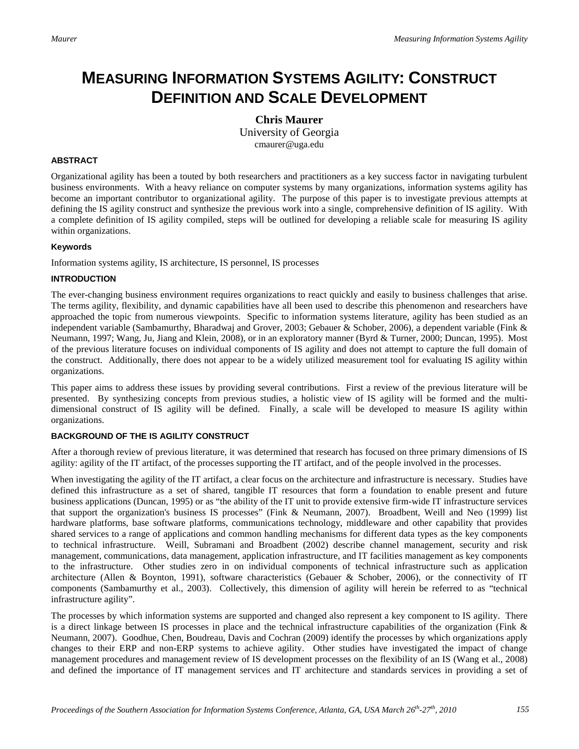## **MEASURING INFORMATION SYSTEMS AGILITY: CONSTRUCT DEFINITION AND SCALE DEVELOPMENT**

**Chris Maurer** University of Georgia cmaurer@uga.edu

#### **ABSTRACT**

Organizational agility has been a touted by both researchers and practitioners as a key success factor in navigating turbulent business environments. With a heavy reliance on computer systems by many organizations, information systems agility has become an important contributor to organizational agility. The purpose of this paper is to investigate previous attempts at defining the IS agility construct and synthesize the previous work into a single, comprehensive definition of IS agility. With a complete definition of IS agility compiled, steps will be outlined for developing a reliable scale for measuring IS agility within organizations.

#### **Keywords**

Information systems agility, IS architecture, IS personnel, IS processes

#### **INTRODUCTION**

The ever-changing business environment requires organizations to react quickly and easily to business challenges that arise. The terms agility, flexibility, and dynamic capabilities have all been used to describe this phenomenon and researchers have approached the topic from numerous viewpoints. Specific to information systems literature, agility has been studied as an independent variable (Sambamurthy, Bharadwaj and Grover, 2003; Gebauer & Schober, 2006), a dependent variable (Fink & Neumann, 1997; Wang, Ju, Jiang and Klein, 2008), or in an exploratory manner (Byrd & Turner, 2000; Duncan, 1995). Most of the previous literature focuses on individual components of IS agility and does not attempt to capture the full domain of the construct. Additionally, there does not appear to be a widely utilized measurement tool for evaluating IS agility within organizations.

This paper aims to address these issues by providing several contributions. First a review of the previous literature will be presented. By synthesizing concepts from previous studies, a holistic view of IS agility will be formed and the multidimensional construct of IS agility will be defined. Finally, a scale will be developed to measure IS agility within organizations.

#### **BACKGROUND OF THE IS AGILITY CONSTRUCT**

After a thorough review of previous literature, it was determined that research has focused on three primary dimensions of IS agility: agility of the IT artifact, of the processes supporting the IT artifact, and of the people involved in the processes.

When investigating the agility of the IT artifact, a clear focus on the architecture and infrastructure is necessary. Studies have defined this infrastructure as a set of shared, tangible IT resources that form a foundation to enable present and future business applications (Duncan, 1995) or as "the ability of the IT unit to provide extensive firm-wide IT infrastructure services that support the organization's business IS processes" (Fink & Neumann, 2007). Broadbent, Weill and Neo (1999) list hardware platforms, base software platforms, communications technology, middleware and other capability that provides shared services to a range of applications and common handling mechanisms for different data types as the key components to technical infrastructure. Weill, Subramani and Broadbent (2002) describe channel management, security and risk management, communications, data management, application infrastructure, and IT facilities management as key components to the infrastructure. Other studies zero in on individual components of technical infrastructure such as application architecture (Allen & Boynton, 1991), software characteristics (Gebauer & Schober, 2006), or the connectivity of IT components (Sambamurthy et al., 2003). Collectively, this dimension of agility will herein be referred to as "technical infrastructure agility".

The processes by which information systems are supported and changed also represent a key component to IS agility. There is a direct linkage between IS processes in place and the technical infrastructure capabilities of the organization (Fink & Neumann, 2007). Goodhue, Chen, Boudreau, Davis and Cochran (2009) identify the processes by which organizations apply changes to their ERP and non-ERP systems to achieve agility. Other studies have investigated the impact of change management procedures and management review of IS development processes on the flexibility of an IS (Wang et al., 2008) and defined the importance of IT management services and IT architecture and standards services in providing a set of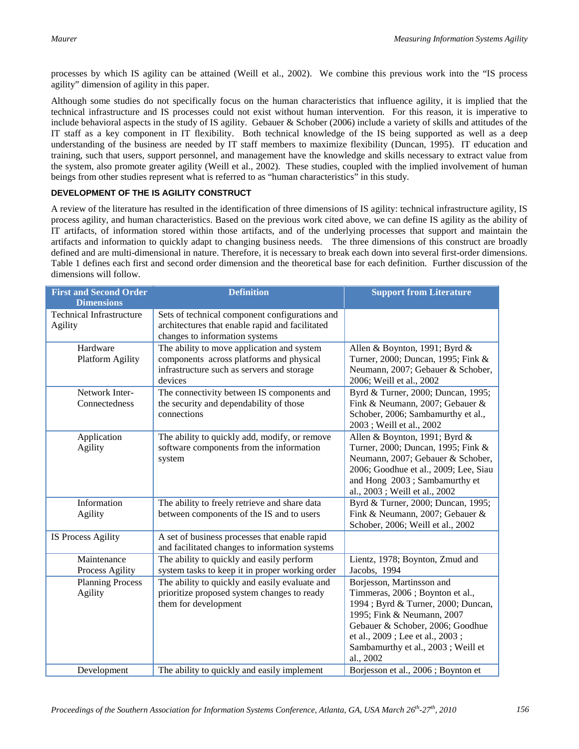processes by which IS agility can be attained (Weill et al., 2002). We combine this previous work into the "IS process agility" dimension of agility in this paper.

Although some studies do not specifically focus on the human characteristics that influence agility, it is implied that the technical infrastructure and IS processes could not exist without human intervention. For this reason, it is imperative to include behavioral aspects in the study of IS agility. Gebauer & Schober (2006) include a variety of skills and attitudes of the IT staff as a key component in IT flexibility. Both technical knowledge of the IS being supported as well as a deep understanding of the business are needed by IT staff members to maximize flexibility (Duncan, 1995). IT education and training, such that users, support personnel, and management have the knowledge and skills necessary to extract value from the system, also promote greater agility (Weill et al., 2002). These studies, coupled with the implied involvement of human beings from other studies represent what is referred to as "human characteristics" in this study.

#### **DEVELOPMENT OF THE IS AGILITY CONSTRUCT**

A review of the literature has resulted in the identification of three dimensions of IS agility: technical infrastructure agility, IS process agility, and human characteristics. Based on the previous work cited above, we can define IS agility as the ability of IT artifacts, of information stored within those artifacts, and of the underlying processes that support and maintain the artifacts and information to quickly adapt to changing business needs. The three dimensions of this construct are broadly defined and are multi-dimensional in nature. Therefore, it is necessary to break each down into several first-order dimensions. Table 1 defines each first and second order dimension and the theoretical base for each definition. Further discussion of the dimensions will follow.

| <b>First and Second Order</b><br><b>Dimensions</b> | <b>Definition</b>                                                                                                                               | <b>Support from Literature</b>                                                                                                                                                                                                                                |  |  |  |  |  |
|----------------------------------------------------|-------------------------------------------------------------------------------------------------------------------------------------------------|---------------------------------------------------------------------------------------------------------------------------------------------------------------------------------------------------------------------------------------------------------------|--|--|--|--|--|
| <b>Technical Infrastructure</b><br>Agility         | Sets of technical component configurations and<br>architectures that enable rapid and facilitated<br>changes to information systems             |                                                                                                                                                                                                                                                               |  |  |  |  |  |
| Hardware<br><b>Platform Agility</b>                | The ability to move application and system<br>components across platforms and physical<br>infrastructure such as servers and storage<br>devices | Allen & Boynton, 1991; Byrd &<br>Turner, 2000; Duncan, 1995; Fink &<br>Neumann, 2007; Gebauer & Schober,<br>2006; Weill et al., 2002                                                                                                                          |  |  |  |  |  |
| Network Inter-<br>Connectedness                    | The connectivity between IS components and<br>the security and dependability of those<br>connections                                            | Byrd & Turner, 2000; Duncan, 1995;<br>Fink & Neumann, 2007; Gebauer &<br>Schober, 2006; Sambamurthy et al.,<br>2003 ; Weill et al., 2002                                                                                                                      |  |  |  |  |  |
| Application<br>Agility                             | The ability to quickly add, modify, or remove<br>software components from the information<br>system                                             | Allen & Boynton, 1991; Byrd &<br>Turner, 2000; Duncan, 1995; Fink &<br>Neumann, 2007; Gebauer & Schober,<br>2006; Goodhue et al., 2009; Lee, Siau<br>and Hong 2003; Sambamurthy et<br>al., 2003 ; Weill et al., 2002                                          |  |  |  |  |  |
| Information<br>Agility                             | The ability to freely retrieve and share data<br>between components of the IS and to users                                                      | Byrd & Turner, 2000; Duncan, 1995;<br>Fink & Neumann, 2007; Gebauer &<br>Schober, 2006; Weill et al., 2002                                                                                                                                                    |  |  |  |  |  |
| <b>IS Process Agility</b>                          | A set of business processes that enable rapid<br>and facilitated changes to information systems                                                 |                                                                                                                                                                                                                                                               |  |  |  |  |  |
| Maintenance<br>Process Agility                     | The ability to quickly and easily perform<br>system tasks to keep it in proper working order                                                    | Lientz, 1978; Boynton, Zmud and<br>Jacobs, 1994                                                                                                                                                                                                               |  |  |  |  |  |
| <b>Planning Process</b><br>Agility                 | The ability to quickly and easily evaluate and<br>prioritize proposed system changes to ready<br>them for development                           | Borjesson, Martinsson and<br>Timmeras, 2006; Boynton et al.,<br>1994 ; Byrd & Turner, 2000; Duncan,<br>1995; Fink & Neumann, 2007<br>Gebauer & Schober, 2006; Goodhue<br>et al., 2009 ; Lee et al., 2003 ;<br>Sambamurthy et al., 2003; Weill et<br>al., 2002 |  |  |  |  |  |
| Development                                        | The ability to quickly and easily implement                                                                                                     | Borjesson et al., 2006; Boynton et                                                                                                                                                                                                                            |  |  |  |  |  |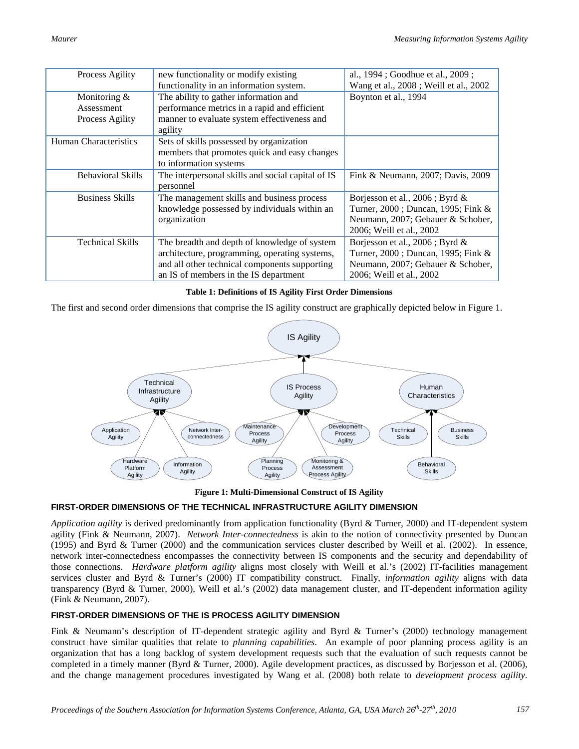| Process Agility          | new functionality or modify existing              | al., 1994; Goodhue et al., 2009;      |  |  |  |
|--------------------------|---------------------------------------------------|---------------------------------------|--|--|--|
|                          | functionality in an information system.           | Wang et al., 2008; Weill et al., 2002 |  |  |  |
| Monitoring $&$           | The ability to gather information and             | Boynton et al., 1994                  |  |  |  |
| Assessment               | performance metrics in a rapid and efficient      |                                       |  |  |  |
| Process Agility          | manner to evaluate system effectiveness and       |                                       |  |  |  |
|                          | agility                                           |                                       |  |  |  |
| Human Characteristics    | Sets of skills possessed by organization          |                                       |  |  |  |
|                          | members that promotes quick and easy changes      |                                       |  |  |  |
|                          | to information systems                            |                                       |  |  |  |
| <b>Behavioral Skills</b> | The interpersonal skills and social capital of IS | Fink & Neumann, 2007; Davis, 2009     |  |  |  |
|                          | personnel                                         |                                       |  |  |  |
| <b>Business Skills</b>   | The management skills and business process        | Borjesson et al., 2006; Byrd &        |  |  |  |
|                          | knowledge possessed by individuals within an      | Turner, 2000; Duncan, 1995; Fink &    |  |  |  |
|                          | organization                                      | Neumann, 2007; Gebauer & Schober,     |  |  |  |
|                          |                                                   | 2006; Weill et al., 2002              |  |  |  |
| <b>Technical Skills</b>  | The breadth and depth of knowledge of system      | Borjesson et al., 2006; Byrd &        |  |  |  |
|                          | architecture, programming, operating systems,     | Turner, 2000; Duncan, 1995; Fink &    |  |  |  |
|                          | and all other technical components supporting     | Neumann, 2007; Gebauer & Schober,     |  |  |  |
|                          | an IS of members in the IS department             | 2006; Weill et al., 2002              |  |  |  |

#### **Table 1: Definitions of IS Agility First Order Dimensions**

The first and second order dimensions that comprise the IS agility construct are graphically depicted below in Figure 1.



**Figure 1: Multi-Dimensional Construct of IS Agility**

#### **FIRST-ORDER DIMENSIONS OF THE TECHNICAL INFRASTRUCTURE AGILITY DIMENSION**

*Application agility* is derived predominantly from application functionality (Byrd & Turner, 2000) and IT-dependent system agility (Fink & Neumann, 2007). *Network Inter-connectedness* is akin to the notion of connectivity presented by Duncan (1995) and Byrd & Turner (2000) and the communication services cluster described by Weill et al. (2002). In essence, network inter-connectedness encompasses the connectivity between IS components and the security and dependability of those connections. *Hardware platform agility* aligns most closely with Weill et al.'s (2002) IT-facilities management services cluster and Byrd & Turner's (2000) IT compatibility construct. Finally, *information agility* aligns with data transparency (Byrd & Turner, 2000), Weill et al.'s (2002) data management cluster, and IT-dependent information agility (Fink & Neumann, 2007).

#### **FIRST-ORDER DIMENSIONS OF THE IS PROCESS AGILITY DIMENSION**

Fink & Neumann's description of IT-dependent strategic agility and Byrd & Turner's (2000) technology management construct have similar qualities that relate to *planning capabilities*. An example of poor planning process agility is an organization that has a long backlog of system development requests such that the evaluation of such requests cannot be completed in a timely manner (Byrd & Turner, 2000). Agile development practices, as discussed by Borjesson et al. (2006), and the change management procedures investigated by Wang et al. (2008) both relate to *development process agility*.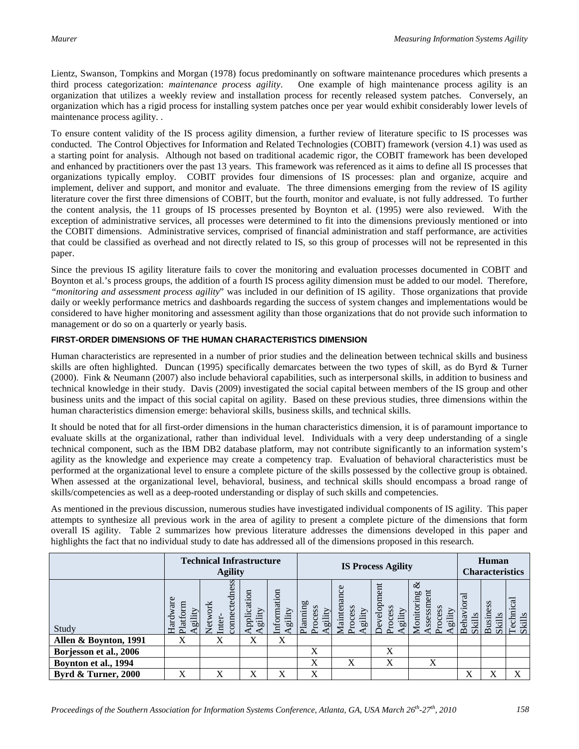Lientz, Swanson, Tompkins and Morgan (1978) focus predominantly on software maintenance procedures which presents a third process categorization: *maintenance process agility*. One example of high maintenance process agility is an organization that utilizes a weekly review and installation process for recently released system patches. Conversely, an organization which has a rigid process for installing system patches once per year would exhibit considerably lower levels of maintenance process agility. .

To ensure content validity of the IS process agility dimension, a further review of literature specific to IS processes was conducted. The Control Objectives for Information and Related Technologies (COBIT) framework (version 4.1) was used as a starting point for analysis. Although not based on traditional academic rigor, the COBIT framework has been developed and enhanced by practitioners over the past 13 years. This framework was referenced as it aims to define all IS processes that organizations typically employ. COBIT provides four dimensions of IS processes: plan and organize, acquire and implement, deliver and support, and monitor and evaluate. The three dimensions emerging from the review of IS agility literature cover the first three dimensions of COBIT, but the fourth, monitor and evaluate, is not fully addressed. To further the content analysis, the 11 groups of IS processes presented by Boynton et al. (1995) were also reviewed. With the exception of administrative services, all processes were determined to fit into the dimensions previously mentioned or into the COBIT dimensions. Administrative services, comprised of financial administration and staff performance, are activities that could be classified as overhead and not directly related to IS, so this group of processes will not be represented in this paper.

Since the previous IS agility literature fails to cover the monitoring and evaluation processes documented in COBIT and Boynton et al.'s process groups, the addition of a fourth IS process agility dimension must be added to our model. Therefore, *"monitoring and assessment process agility*" was included in our definition of IS agility. Those organizations that provide daily or weekly performance metrics and dashboards regarding the success of system changes and implementations would be considered to have higher monitoring and assessment agility than those organizations that do not provide such information to management or do so on a quarterly or yearly basis.

#### **FIRST-ORDER DIMENSIONS OF THE HUMAN CHARACTERISTICS DIMENSION**

Human characteristics are represented in a number of prior studies and the delineation between technical skills and business skills are often highlighted. Duncan (1995) specifically demarcates between the two types of skill, as do Byrd & Turner (2000). Fink & Neumann (2007) also include behavioral capabilities, such as interpersonal skills, in addition to business and technical knowledge in their study. Davis (2009) investigated the social capital between members of the IS group and other business units and the impact of this social capital on agility. Based on these previous studies, three dimensions within the human characteristics dimension emerge: behavioral skills, business skills, and technical skills.

It should be noted that for all first-order dimensions in the human characteristics dimension, it is of paramount importance to evaluate skills at the organizational, rather than individual level. Individuals with a very deep understanding of a single technical component, such as the IBM DB2 database platform, may not contribute significantly to an information system's agility as the knowledge and experience may create a competency trap. Evaluation of behavioral characteristics must be performed at the organizational level to ensure a complete picture of the skills possessed by the collective group is obtained. When assessed at the organizational level, behavioral, business, and technical skills should encompass a broad range of skills/competencies as well as a deep-rooted understanding or display of such skills and competencies.

As mentioned in the previous discussion, numerous studies have investigated individual components of IS agility. This paper attempts to synthesize all previous work in the area of agility to present a complete picture of the dimensions that form overall IS agility. Table 2 summarizes how previous literature addresses the dimensions developed in this paper and highlights the fact that no individual study to date has addressed all of the dimensions proposed in this research.

|                        | <b>Technical Infrastructure</b><br><b>Agility</b> |              |                               | <b>IS Process Agility</b> |                                     |                                                 |                                   | Human<br><b>Characteristics</b>                                       |                                   |                               |                 |
|------------------------|---------------------------------------------------|--------------|-------------------------------|---------------------------|-------------------------------------|-------------------------------------------------|-----------------------------------|-----------------------------------------------------------------------|-----------------------------------|-------------------------------|-----------------|
| Study                  | Φ<br>war<br>E<br>gilit<br>ārd<br>ಡ                | onnectedness | ation<br>ppli<br>$\mathbf{g}$ | Information<br>gility     | pľ<br>Planning<br>Process<br>gility | ω<br><i><b>Aainten:</b></i><br>rocess<br>gility | Ξ<br>$e$ velop<br>ocess<br>gility | $\infty$<br>$\overline{a}$<br>Ē<br>ssessm<br>lonitori<br>SS<br>gility | ಸ<br><b>Skills</b><br><b>Beha</b> | ess<br>Busin<br><b>Skills</b> | echni<br>Skills |
| Allen & Boynton, 1991  | X                                                 | X            | X                             | X                         |                                     |                                                 |                                   |                                                                       |                                   |                               |                 |
| Borjesson et al., 2006 |                                                   |              |                               |                           | X                                   |                                                 | X                                 |                                                                       |                                   |                               |                 |
| Boynton et al., 1994   |                                                   |              |                               |                           | X                                   | X                                               | X                                 | X                                                                     |                                   |                               |                 |
| Byrd & Turner, 2000    | X                                                 | X            | X                             | X                         | X                                   |                                                 |                                   |                                                                       |                                   |                               |                 |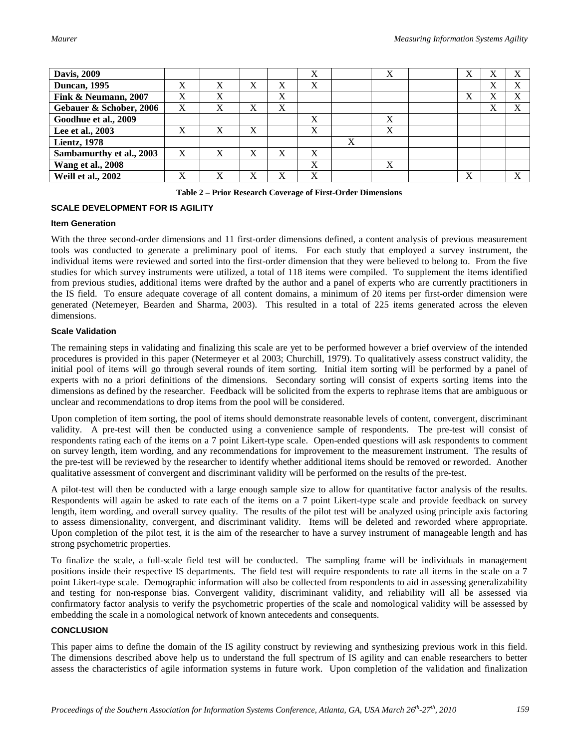| <b>Davis, 2009</b>        |                   |             |   |   | X            |   | X                 | Χ | A                 | Χ              |
|---------------------------|-------------------|-------------|---|---|--------------|---|-------------------|---|-------------------|----------------|
| <b>Duncan</b> , 1995      | X                 | X           | X | X | X            |   |                   |   | $\mathbf{v}$<br>л | $\mathbf v$    |
| Fink & Neumann, 2007      | X                 | X           |   | X |              |   |                   | X | X                 | X              |
| Gebauer & Schober, 2006   | X                 | X           | X | X |              |   |                   |   | $\Lambda$         | v<br>$\Lambda$ |
| Goodhue et al., 2009      |                   |             |   |   | X            |   | $\mathbf{v}$<br>л |   |                   |                |
| Lee et al., 2003          | X                 | X           | X |   | X            |   | X                 |   |                   |                |
| <b>Lientz</b> , 1978      |                   |             |   |   |              | X |                   |   |                   |                |
| Sambamurthy et al., 2003  | X                 | X           | X | X | X            |   |                   |   |                   |                |
| Wang et al., 2008         |                   |             |   |   | X            |   | X                 |   |                   |                |
| <b>Weill et al., 2002</b> | $\mathbf{v}$<br>Δ | $\mathbf v$ | X | X | $\mathbf{v}$ |   |                   | X |                   | v              |

**Table 2 – Prior Research Coverage of First-Order Dimensions**

#### **SCALE DEVELOPMENT FOR IS AGILITY**

#### **Item Generation**

With the three second-order dimensions and 11 first-order dimensions defined, a content analysis of previous measurement tools was conducted to generate a preliminary pool of items. For each study that employed a survey instrument, the individual items were reviewed and sorted into the first-order dimension that they were believed to belong to. From the five studies for which survey instruments were utilized, a total of 118 items were compiled. To supplement the items identified from previous studies, additional items were drafted by the author and a panel of experts who are currently practitioners in the IS field. To ensure adequate coverage of all content domains, a minimum of 20 items per first-order dimension were generated (Netemeyer, Bearden and Sharma, 2003). This resulted in a total of 225 items generated across the eleven dimensions.

#### **Scale Validation**

The remaining steps in validating and finalizing this scale are yet to be performed however a brief overview of the intended procedures is provided in this paper (Netermeyer et al 2003; Churchill, 1979). To qualitatively assess construct validity, the initial pool of items will go through several rounds of item sorting. Initial item sorting will be performed by a panel of experts with no a priori definitions of the dimensions. Secondary sorting will consist of experts sorting items into the dimensions as defined by the researcher. Feedback will be solicited from the experts to rephrase items that are ambiguous or unclear and recommendations to drop items from the pool will be considered.

Upon completion of item sorting, the pool of items should demonstrate reasonable levels of content, convergent, discriminant validity. A pre-test will then be conducted using a convenience sample of respondents. The pre-test will consist of respondents rating each of the items on a 7 point Likert-type scale. Open-ended questions will ask respondents to comment on survey length, item wording, and any recommendations for improvement to the measurement instrument. The results of the pre-test will be reviewed by the researcher to identify whether additional items should be removed or reworded. Another qualitative assessment of convergent and discriminant validity will be performed on the results of the pre-test.

A pilot-test will then be conducted with a large enough sample size to allow for quantitative factor analysis of the results. Respondents will again be asked to rate each of the items on a 7 point Likert-type scale and provide feedback on survey length, item wording, and overall survey quality. The results of the pilot test will be analyzed using principle axis factoring to assess dimensionality, convergent, and discriminant validity. Items will be deleted and reworded where appropriate. Upon completion of the pilot test, it is the aim of the researcher to have a survey instrument of manageable length and has strong psychometric properties.

To finalize the scale, a full-scale field test will be conducted. The sampling frame will be individuals in management positions inside their respective IS departments. The field test will require respondents to rate all items in the scale on a 7 point Likert-type scale. Demographic information will also be collected from respondents to aid in assessing generalizability and testing for non-response bias. Convergent validity, discriminant validity, and reliability will all be assessed via confirmatory factor analysis to verify the psychometric properties of the scale and nomological validity will be assessed by embedding the scale in a nomological network of known antecedents and consequents.

#### **CONCLUSION**

This paper aims to define the domain of the IS agility construct by reviewing and synthesizing previous work in this field. The dimensions described above help us to understand the full spectrum of IS agility and can enable researchers to better assess the characteristics of agile information systems in future work. Upon completion of the validation and finalization